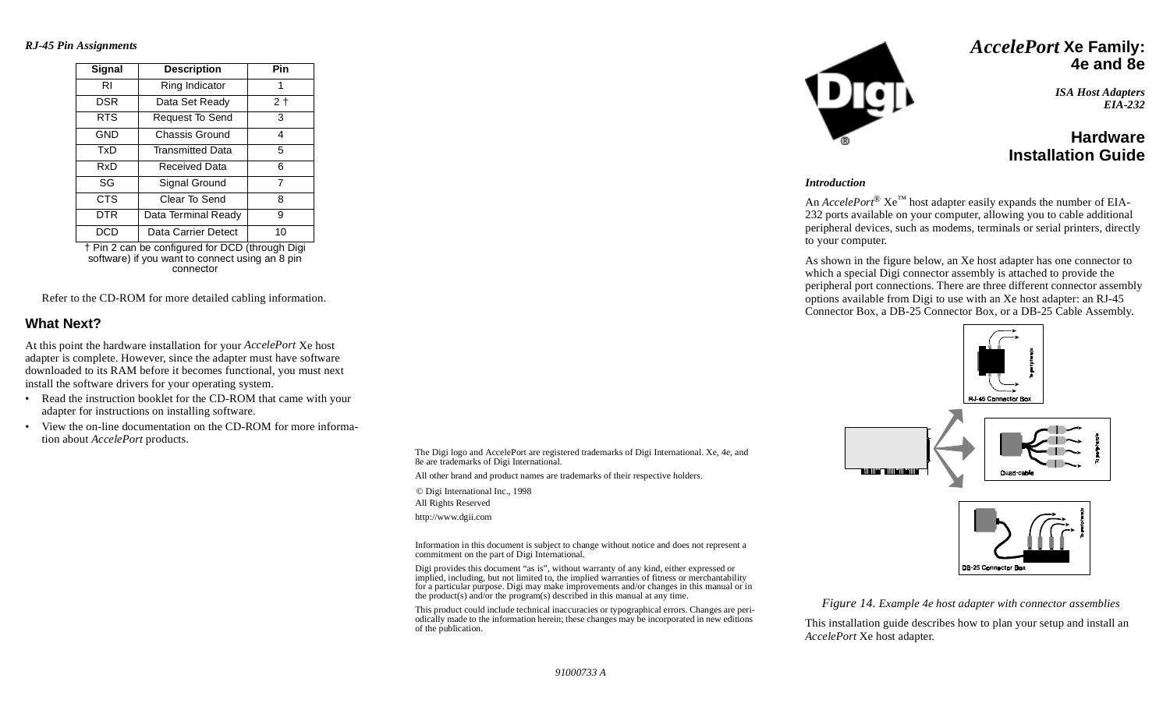*RJ-45 Pin Assignments*

| Signal     | <b>Description</b>      | Pin            |  |  |  |
|------------|-------------------------|----------------|--|--|--|
| RI         | Ring Indicator          | 1              |  |  |  |
| <b>DSR</b> | Data Set Ready          | 2 <sub>1</sub> |  |  |  |
| <b>RTS</b> | Request To Send         | 3              |  |  |  |
| <b>GND</b> | Chassis Ground          | 4              |  |  |  |
| TxD        | <b>Transmitted Data</b> | 5              |  |  |  |
| RxD        | Received Data           | 6              |  |  |  |
| SG         | Signal Ground           | 7              |  |  |  |
| <b>CTS</b> | Clear To Send           | 8              |  |  |  |
| DTR        | Data Terminal Ready     | 9              |  |  |  |
| <b>DCD</b> | Data Carrier Detect     | 10             |  |  |  |
|            |                         |                |  |  |  |

† Pin 2 can be configured for DCD (through Digi software) if you want to connect using an 8 pin connector

Refer to the CD-ROM for more detailed cabling information.

### **What Next?**

At this point the hardware installation for your *AccelePort* Xe host adapter is complete. However, since the adapter must have software downloaded to its RAM before it becomes functional, you must next install the software drivers for your operating system.

- • Read the instruction booklet for the CD-ROM that came with your adapter for instructions on installing software.
- • View the on-line documentation on the CD-ROM for more information about *AccelePort* products.

The Digi logo and AccelePort are registered trademarks of Digi International. Xe, 4e, and 8e are trademarks of Digi International.

All other brand and product names are trademarks of their respective holders.

© Digi International Inc., 1998 All Rights Reserved http://www.dgii.com

Information in this document is subject to change without notice and does not represent a commitment on the part of Digi International.

Digi provides this document "as is", without warranty of any kind, either expressed or implied, including, but not limited to, the implied warranties of fitness or merchantability for a particular purpose. Digi may make improvements and/or changes in this manual or in the product(s) and/or the program(s) described in this manual at any time.

This product could include technical inaccuracies or typographical errors. Changes are periodically made to the information herein; these changes may be incorporated in new editions of the publication.



## *AccelePort* **Xe Family: 4e and 8e**

*ISA Host Adapters EIA-232*

## **HardwareInstallation Guide**

#### *Introduction*

An *AccelePort*<sup>®</sup>  $Xe^{TM}$  host adapter easily expands the number of EIA-232 ports available on your computer, allowing you to cable additional peripheral devices, such as modems, terminals or serial printers, directly to your computer.

As shown in the figure below, an Xe host adapter has one connector to which a special Digi connector assembly is attached to provide the peripheral port connections. There are three different connector assembly options available from Digi to use with an Xe host adapter: an RJ-45 Connector Box, a DB-25 Connector Box, or a DB-25 Cable Assembly.





Quad-cable

*Figure 14. Example 4e host adapter with connector assemblies*

This installation guide describes how to plan your setup and install an *AccelePort* Xe host adapter.